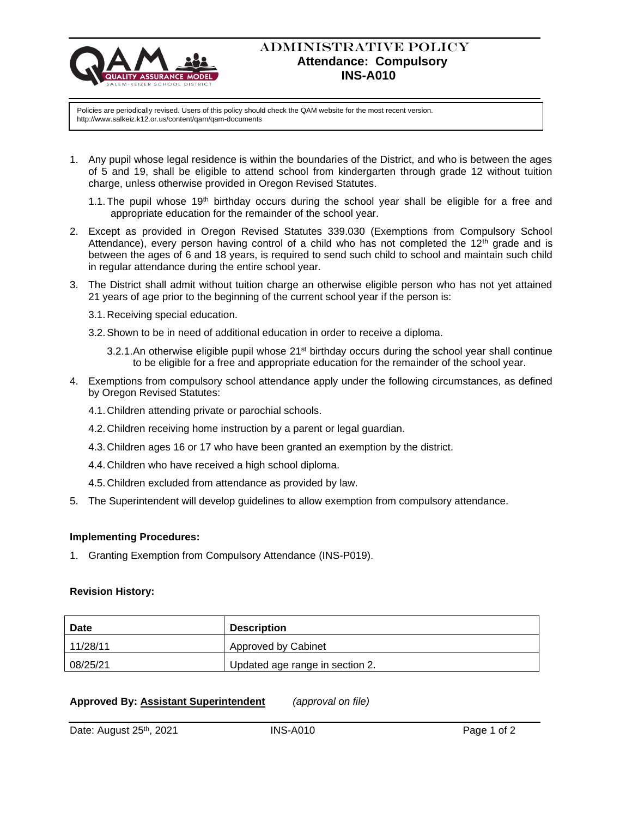

## ADMINISTRATIVE POLICY  **Attendance: Compulsory INS-A010**

Policies are periodically revised. Users of this policy should check the QAM website for the most recent version. http://www.salkeiz.k12.or.us/content/qam/qam-documents

- 1. Any pupil whose legal residence is within the boundaries of the District, and who is between the ages of 5 and 19, shall be eligible to attend school from kindergarten through grade 12 without tuition charge, unless otherwise provided in Oregon Revised Statutes.
	- 1.1. The pupil whose  $19<sup>th</sup>$  birthday occurs during the school year shall be eligible for a free and appropriate education for the remainder of the school year.
- 2. Except as provided in Oregon Revised Statutes 339.030 (Exemptions from Compulsory School Attendance), every person having control of a child who has not completed the 12<sup>th</sup> grade and is between the ages of 6 and 18 years, is required to send such child to school and maintain such child in regular attendance during the entire school year.
- 3. The District shall admit without tuition charge an otherwise eligible person who has not yet attained 21 years of age prior to the beginning of the current school year if the person is:
	- 3.1.Receiving special education.
	- 3.2.Shown to be in need of additional education in order to receive a diploma.
		- 3.2.1. An otherwise eligible pupil whose  $21<sup>st</sup>$  birthday occurs during the school year shall continue to be eligible for a free and appropriate education for the remainder of the school year.
- 4. Exemptions from compulsory school attendance apply under the following circumstances, as defined by Oregon Revised Statutes:
	- 4.1.Children attending private or parochial schools.
	- 4.2.Children receiving home instruction by a parent or legal guardian.
	- 4.3.Children ages 16 or 17 who have been granted an exemption by the district.
	- 4.4.Children who have received a high school diploma.
	- 4.5.Children excluded from attendance as provided by law.
- 5. The Superintendent will develop guidelines to allow exemption from compulsory attendance.

## **Implementing Procedures:**

1. Granting Exemption from Compulsory Attendance (INS-P019).

## **Revision History:**

| Date     | <b>Description</b>              |
|----------|---------------------------------|
| 11/28/11 | <b>Approved by Cabinet</b>      |
| 08/25/21 | Updated age range in section 2. |

## **Approved By: Assistant Superintendent** *(approval on file)*